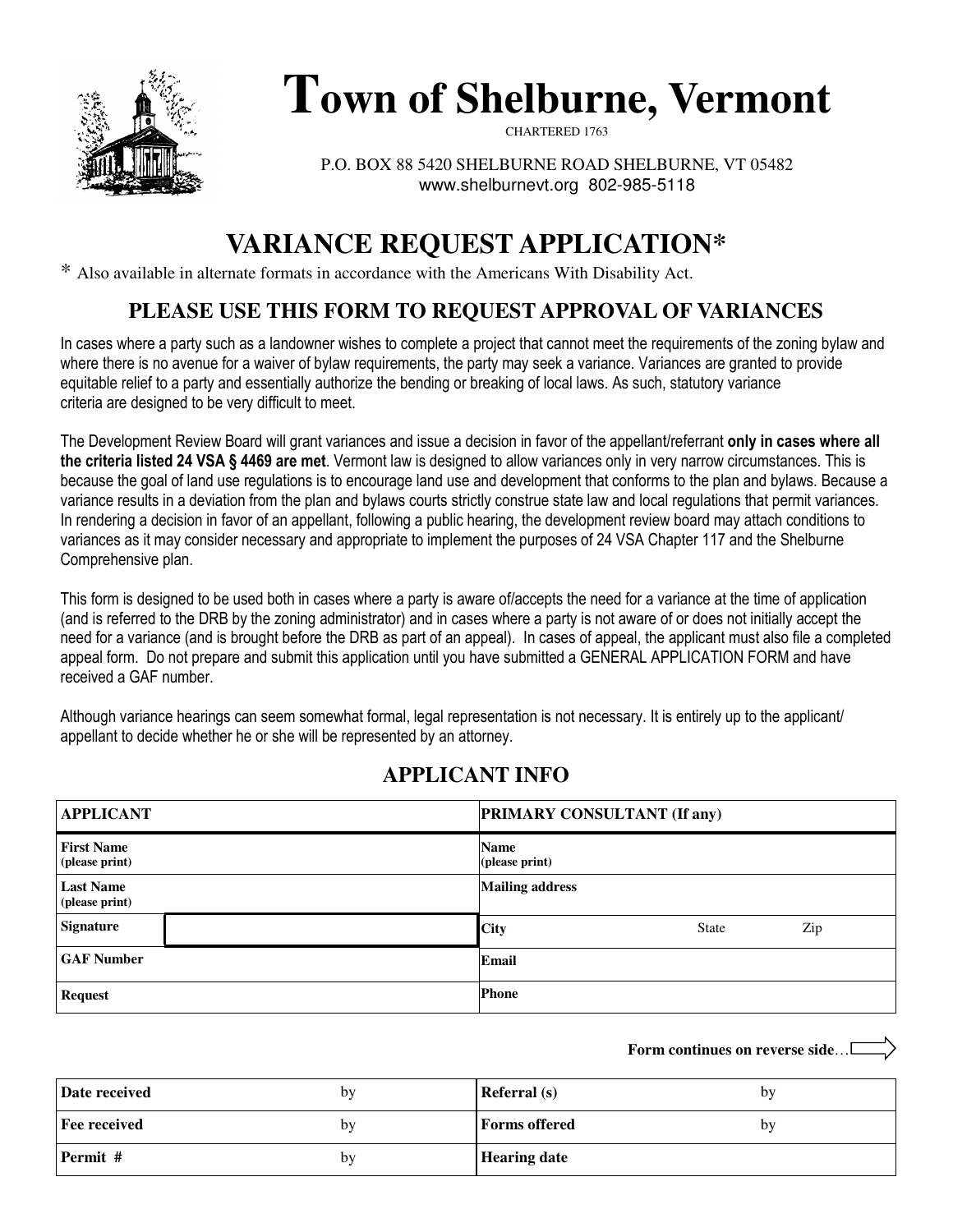

# **Town of Shelburne, Vermont**

CHARTERED 1763

P.O. BOX 88 5420 SHELBURNE ROAD SHELBURNE, VT 05482 www.shelburnevt.org 802-985-5118

# **VARIANCE REQUEST APPLICATION\***

\* Also available in alternate formats in accordance with the Americans With Disability Act.

# **PLEASE USE THIS FORM TO REQUEST APPROVAL OF VARIANCES**

In cases where a party such as a landowner wishes to complete a project that cannot meet the requirements of the zoning bylaw and where there is no avenue for a waiver of bylaw requirements, the party may seek a variance. Variances are granted to provide equitable relief to a party and essentially authorize the bending or breaking of local laws. As such, statutory variance criteria are designed to be very difficult to meet.

The Development Review Board will grant variances and issue a decision in favor of the appellant/referrant only in cases where all the criteria listed 24 VSA § 4469 are met. Vermont law is designed to allow variances only in very narrow circumstances. This is because the goal of land use regulations is to encourage land use and development that conforms to the plan and bylaws. Because a variance results in a deviation from the plan and bylaws courts strictly construe state law and local regulations that permit variances. In rendering a decision in favor of an appellant, following a public hearing, the development review board may attach conditions to variances as it may consider necessary and appropriate to implement the purposes of 24 VSA Chapter 117 and the Shelburne Comprehensive plan.

This form is designed to be used both in cases where a party is aware of/accepts the need for a variance at the time of application (and is referred to the DRB by the zoning administrator) and in cases where a party is not aware of or does not initially accept the need for a variance (and is brought before the DRB as part of an appeal). In cases of appeal, the applicant must also file a completed appeal form. Do not prepare and submit this application until you have submitted a GENERAL APPLICATION FORM and have received a GAF number.

Although variance hearings can seem somewhat formal, legal representation is not necessary. It is entirely up to the applicant/ appellant to decide whether he or she will be represented by an attorney.

## **APPLICANT INFO**

| <b>APPLICANT</b>                    | <b>PRIMARY CONSULTANT (If any)</b> |  |  |
|-------------------------------------|------------------------------------|--|--|
| <b>First Name</b><br>(please print) | <b>Name</b><br>(please print)      |  |  |
| <b>Last Name</b><br>(please print)  | <b>Mailing address</b>             |  |  |
| <b>Signature</b>                    | <b>City</b><br>Zip<br><b>State</b> |  |  |
| <b>GAF Number</b>                   | Email                              |  |  |
| <b>Request</b>                      | <b>Phone</b>                       |  |  |

| Date received       | by | <b>Referral</b> (s)  | by |
|---------------------|----|----------------------|----|
| <b>Fee received</b> | by | <b>Forms</b> offered | by |
| Permit #            | by | <b>Hearing date</b>  |    |

**Form continues on reverse side**…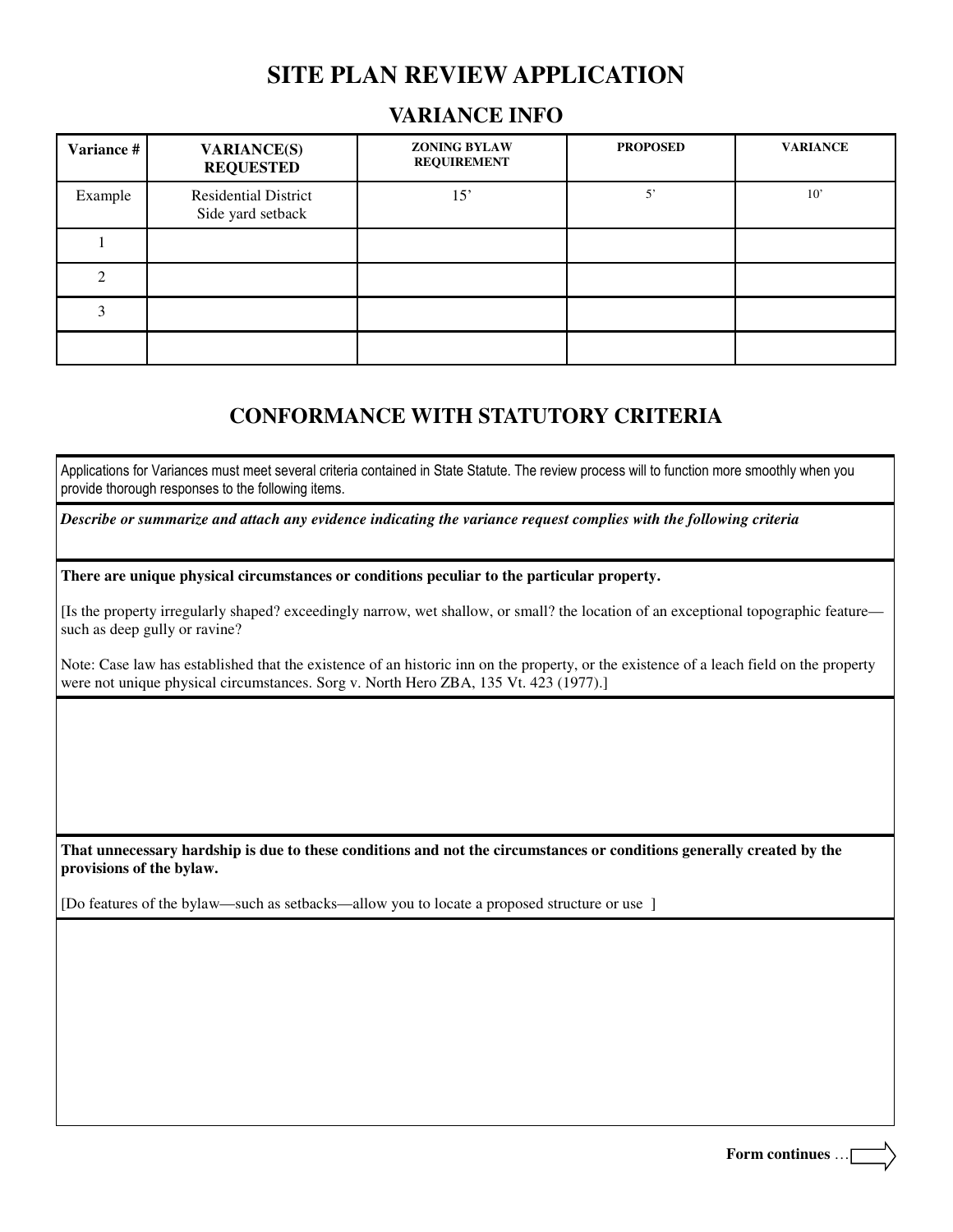# **SITE PLAN REVIEW APPLICATION**

#### **VARIANCE INFO**

| Variance # | <b>VARIANCE(S)</b><br><b>REQUESTED</b>           | <b>ZONING BYLAW</b><br><b>REQUIREMENT</b> | <b>PROPOSED</b> | <b>VARIANCE</b> |
|------------|--------------------------------------------------|-------------------------------------------|-----------------|-----------------|
| Example    | <b>Residential District</b><br>Side yard setback | 15'                                       | $\mathbf{5}$    | 10'             |
|            |                                                  |                                           |                 |                 |
|            |                                                  |                                           |                 |                 |
|            |                                                  |                                           |                 |                 |
|            |                                                  |                                           |                 |                 |

### **CONFORMANCE WITH STATUTORY CRITERIA**

Applications for Variances must meet several criteria contained in State Statute. The review process will to function more smoothly when you provide thorough responses to the following items.

*Describe or summarize and attach any evidence indicating the variance request complies with the following criteria*

**There are unique physical circumstances or conditions peculiar to the particular property.** 

[Is the property irregularly shaped? exceedingly narrow, wet shallow, or small? the location of an exceptional topographic feature such as deep gully or ravine?

Note: Case law has established that the existence of an historic inn on the property, or the existence of a leach field on the property were not unique physical circumstances. Sorg v. North Hero ZBA, 135 Vt. 423 (1977).]

**That unnecessary hardship is due to these conditions and not the circumstances or conditions generally created by the provisions of the bylaw.** 

[Do features of the bylaw—such as setbacks—allow you to locate a proposed structure or use ]

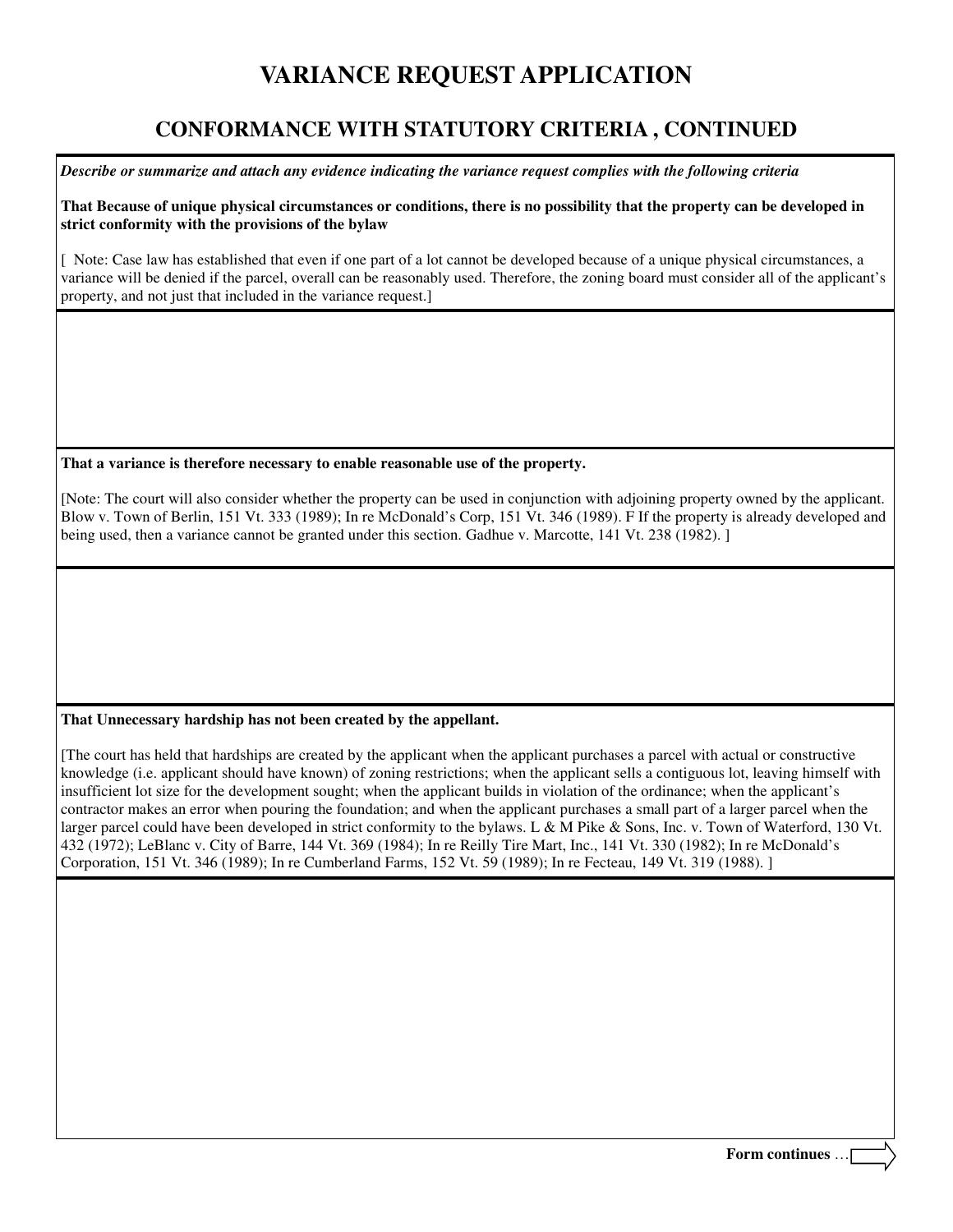### **CONFORMANCE WITH STATUTORY CRITERIA , CONTINUED**

*Describe or summarize and attach any evidence indicating the variance request complies with the following criteria*

**That Because of unique physical circumstances or conditions, there is no possibility that the property can be developed in strict conformity with the provisions of the bylaw** 

[ Note: Case law has established that even if one part of a lot cannot be developed because of a unique physical circumstances, a variance will be denied if the parcel, overall can be reasonably used. Therefore, the zoning board must consider all of the applicant's property, and not just that included in the variance request.]

**That a variance is therefore necessary to enable reasonable use of the property.** 

[Note: The court will also consider whether the property can be used in conjunction with adjoining property owned by the applicant. Blow v. Town of Berlin, 151 Vt. 333 (1989); In re McDonald's Corp, 151 Vt. 346 (1989). F If the property is already developed and being used, then a variance cannot be granted under this section. Gadhue v. Marcotte, 141 Vt. 238 (1982). ]

#### **That Unnecessary hardship has not been created by the appellant.**

[The court has held that hardships are created by the applicant when the applicant purchases a parcel with actual or constructive knowledge (i.e. applicant should have known) of zoning restrictions; when the applicant sells a contiguous lot, leaving himself with insufficient lot size for the development sought; when the applicant builds in violation of the ordinance; when the applicant's contractor makes an error when pouring the foundation; and when the applicant purchases a small part of a larger parcel when the larger parcel could have been developed in strict conformity to the bylaws. L & M Pike & Sons, Inc. v. Town of Waterford, 130 Vt. 432 (1972); LeBlanc v. City of Barre, 144 Vt. 369 (1984); In re Reilly Tire Mart, Inc., 141 Vt. 330 (1982); In re McDonald's Corporation, 151 Vt. 346 (1989); In re Cumberland Farms, 152 Vt. 59 (1989); In re Fecteau, 149 Vt. 319 (1988). ]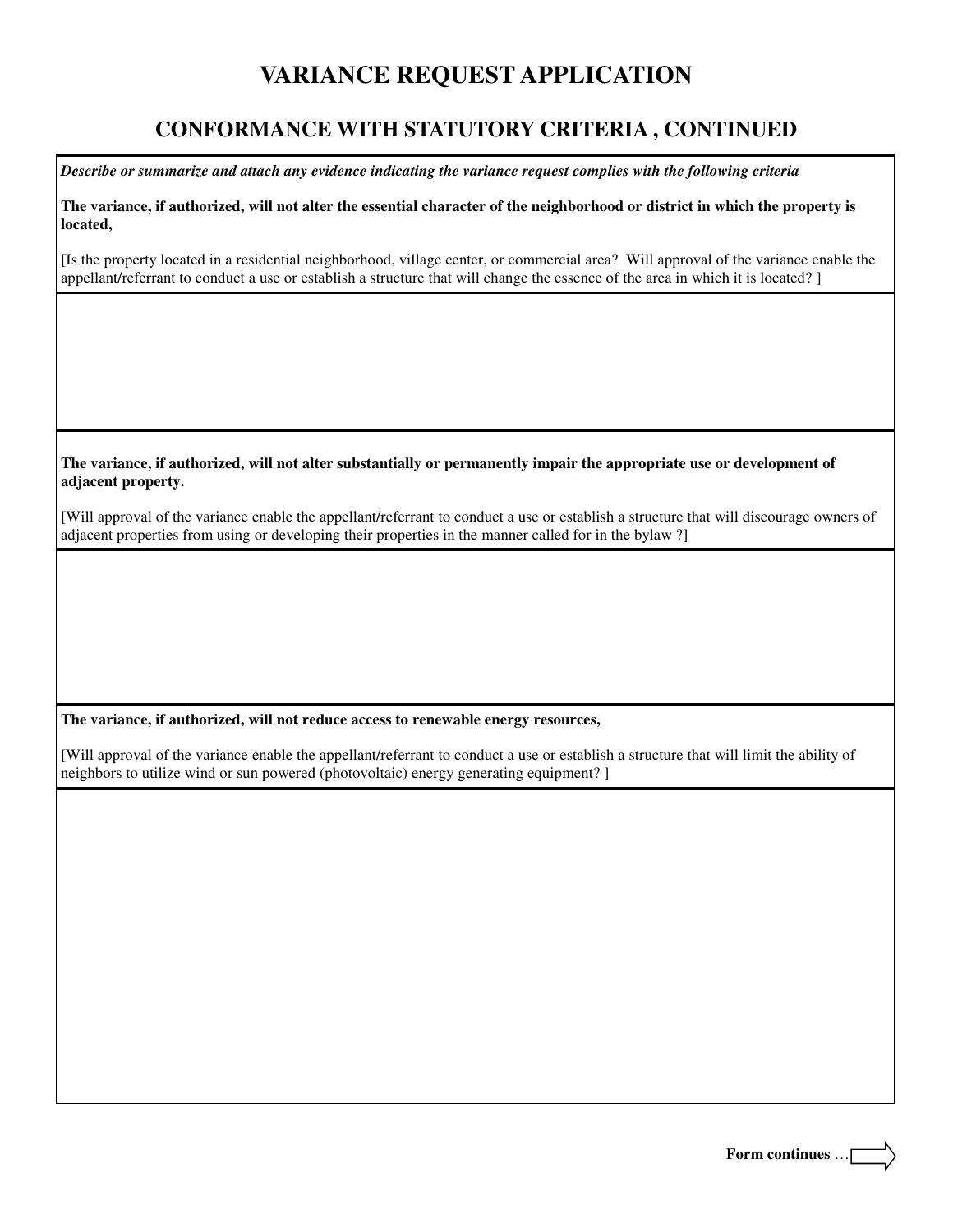### **CONFORMANCE WITH STATUTORY CRITERIA , CONTINUED**

*Describe or summarize and attach any evidence indicating the variance request complies with the following criteria*

**The variance, if authorized, will not alter the essential character of the neighborhood or district in which the property is located,** 

[Is the property located in a residential neighborhood, village center, or commercial area? Will approval of the variance enable the appellant/referrant to conduct a use or establish a structure that will change the essence of the area in which it is located? ]

**The variance, if authorized, will not alter substantially or permanently impair the appropriate use or development of adjacent property.** 

[Will approval of the variance enable the appellant/referrant to conduct a use or establish a structure that will discourage owners of adjacent properties from using or developing their properties in the manner called for in the bylaw ?]

#### **The variance, if authorized, will not reduce access to renewable energy resources,**

[Will approval of the variance enable the appellant/referrant to conduct a use or establish a structure that will limit the ability of neighbors to utilize wind or sun powered (photovoltaic) energy generating equipment? ]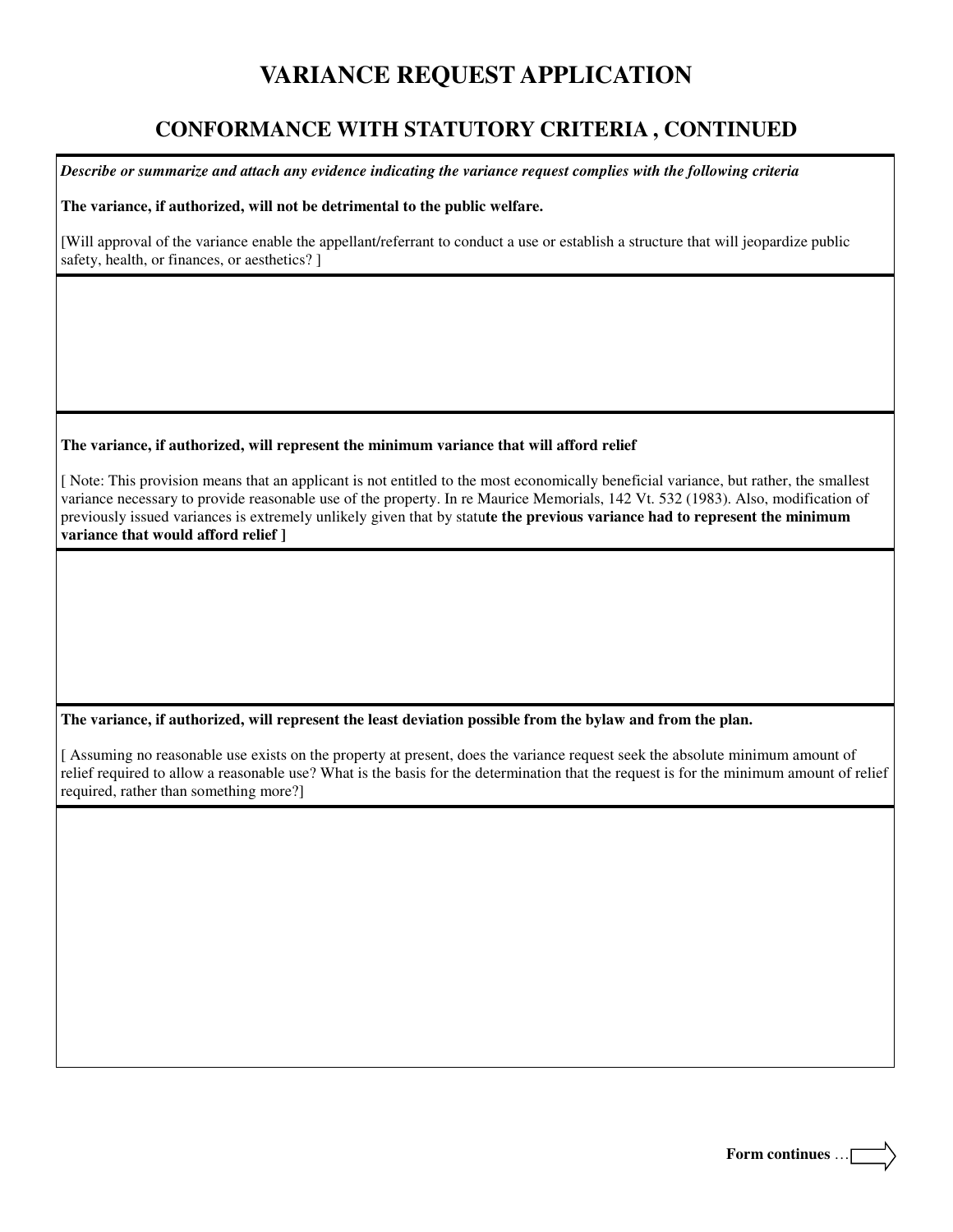### **CONFORMANCE WITH STATUTORY CRITERIA , CONTINUED**

*Describe or summarize and attach any evidence indicating the variance request complies with the following criteria*

**The variance, if authorized, will not be detrimental to the public welfare.** 

[Will approval of the variance enable the appellant/referrant to conduct a use or establish a structure that will jeopardize public safety, health, or finances, or aesthetics? ]

#### **The variance, if authorized, will represent the minimum variance that will afford relief**

[ Note: This provision means that an applicant is not entitled to the most economically beneficial variance, but rather, the smallest variance necessary to provide reasonable use of the property. In re Maurice Memorials, 142 Vt. 532 (1983). Also, modification of previously issued variances is extremely unlikely given that by statu**te the previous variance had to represent the minimum variance that would afford relief ]**

#### **The variance, if authorized, will represent the least deviation possible from the bylaw and from the plan.**

[ Assuming no reasonable use exists on the property at present, does the variance request seek the absolute minimum amount of relief required to allow a reasonable use? What is the basis for the determination that the request is for the minimum amount of relief required, rather than something more?]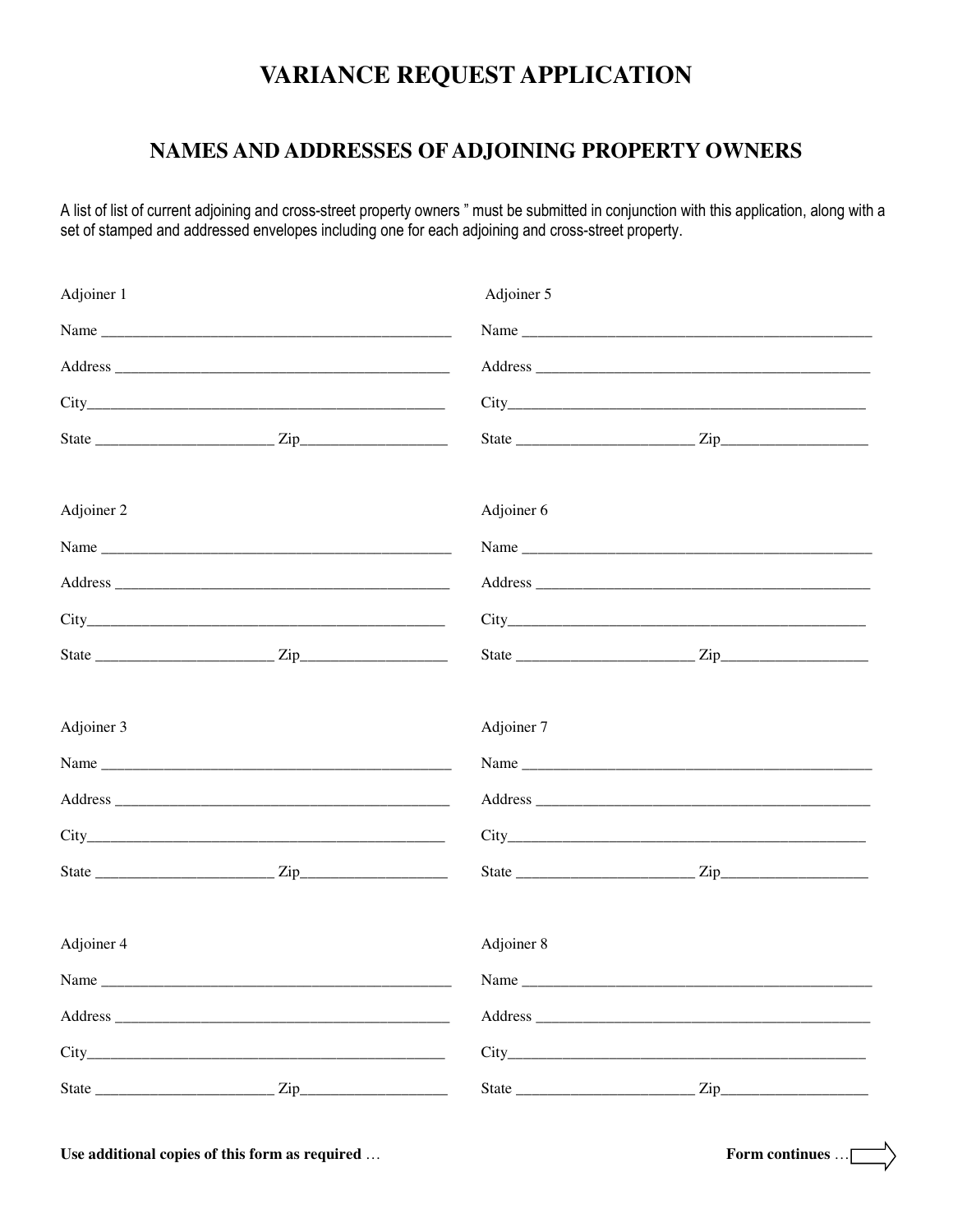#### NAMES AND ADDRESSES OF ADJOINING PROPERTY OWNERS

A list of list of current adjoining and cross-street property owners " must be submitted in conjunction with this application, along with a set of stamped and addressed envelopes including one for each adjoining and cross-street property.

| Adjoiner 1 | Adjoiner 5 |      |  |  |
|------------|------------|------|--|--|
|            |            |      |  |  |
|            |            |      |  |  |
|            |            |      |  |  |
|            |            |      |  |  |
| Adjoiner 2 | Adjoiner 6 |      |  |  |
|            |            | Name |  |  |
|            |            |      |  |  |
|            |            |      |  |  |
|            |            |      |  |  |
| Adjoiner 3 | Adjoiner 7 |      |  |  |
|            |            |      |  |  |
|            |            |      |  |  |
|            |            |      |  |  |
|            |            |      |  |  |
| Adjoiner 4 | Adjoiner 8 |      |  |  |
| Name       | Name       |      |  |  |
|            |            |      |  |  |
|            |            |      |  |  |
|            |            |      |  |  |

Use additional copies of this form as required ...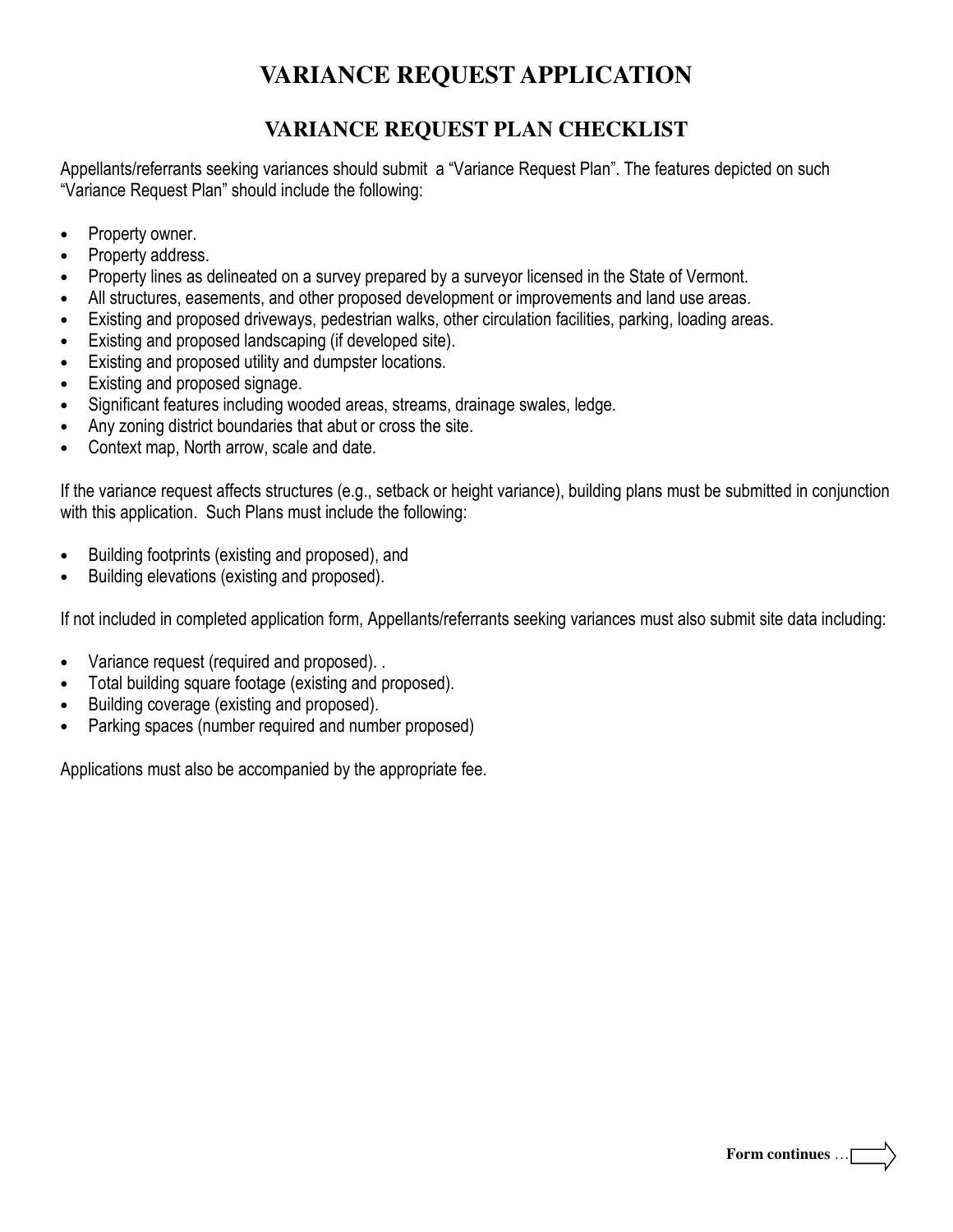### **VARIANCE REQUEST PLAN CHECKLIST**

Appellants/referrants seeking variances should submit a "Variance Request Plan". The features depicted on such "Variance Request Plan" should include the following:

- Property owner.
- Property address.
- Property lines as delineated on a survey prepared by a surveyor licensed in the State of Vermont.
- All structures, easements, and other proposed development or improvements and land use areas.
- Existing and proposed driveways, pedestrian walks, other circulation facilities, parking, loading areas.
- Existing and proposed landscaping (if developed site).
- Existing and proposed utility and dumpster locations.
- Existing and proposed signage.
- Significant features including wooded areas, streams, drainage swales, ledge.
- Any zoning district boundaries that abut or cross the site.
- Context map, North arrow, scale and date.

If the variance request affects structures (e.g., setback or height variance), building plans must be submitted in conjunction with this application. Such Plans must include the following:

- Building footprints (existing and proposed), and
- Building elevations (existing and proposed).

If not included in completed application form, Appellants/referrants seeking variances must also submit site data including:

- Variance request (required and proposed). .
- Total building square footage (existing and proposed).
- Building coverage (existing and proposed).
- Parking spaces (number required and number proposed)

Applications must also be accompanied by the appropriate fee.